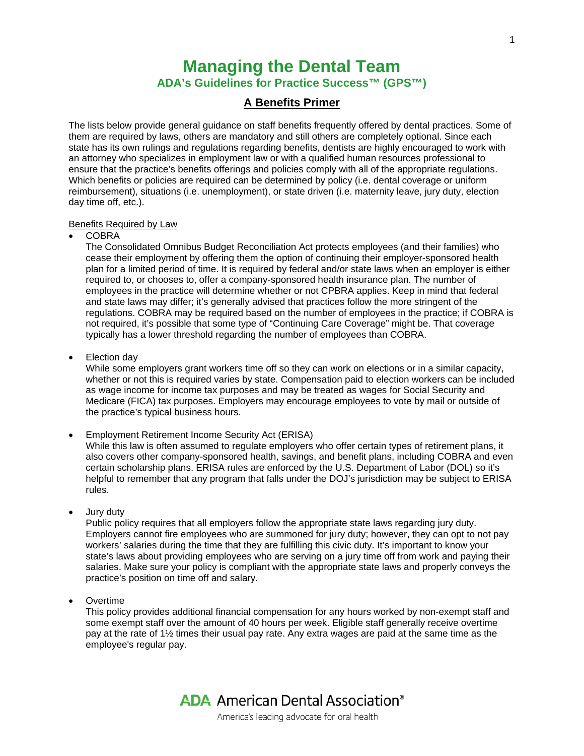# **Managing the Dental Team ADA's Guidelines for Practice Success™ (GPS™)**

# **A Benefits Primer**

The lists below provide general guidance on staff benefits frequently offered by dental practices. Some of them are required by laws, others are mandatory and still others are completely optional. Since each state has its own rulings and regulations regarding benefits, dentists are highly encouraged to work with an attorney who specializes in employment law or with a qualified human resources professional to ensure that the practice's benefits offerings and policies comply with all of the appropriate regulations. Which benefits or policies are required can be determined by policy (i.e. dental coverage or uniform reimbursement), situations (i.e. unemployment), or state driven (i.e. maternity leave, jury duty, election day time off, etc.).

#### Benefits Required by Law

• COBRA

The Consolidated Omnibus Budget Reconciliation Act protects employees (and their families) who cease their employment by offering them the option of continuing their employer-sponsored health plan for a limited period of time. It is required by federal and/or state laws when an employer is either required to, or chooses to, offer a company-sponsored health insurance plan. The number of employees in the practice will determine whether or not CPBRA applies. Keep in mind that federal and state laws may differ; it's generally advised that practices follow the more stringent of the regulations. COBRA may be required based on the number of employees in the practice; if COBRA is not required, it's possible that some type of "Continuing Care Coverage" might be. That coverage typically has a lower threshold regarding the number of employees than COBRA.

• Election day

While some employers grant workers time off so they can work on elections or in a similar capacity, whether or not this is required varies by state. Compensation paid to election workers can be included as wage income for income tax purposes and may be treated as wages for Social Security and Medicare (FICA) tax purposes. Employers may encourage employees to vote by mail or outside of the practice's typical business hours.

- Employment Retirement Income Security Act (ERISA) While this law is often assumed to regulate employers who offer certain types of retirement plans, it also covers other company-sponsored health, savings, and benefit plans, including COBRA and even certain scholarship plans. ERISA rules are enforced by the U.S. Department of Labor (DOL) so it's helpful to remember that any program that falls under the DOJ's jurisdiction may be subject to ERISA rules.
- Jury duty

Public policy requires that all employers follow the appropriate state laws regarding jury duty. Employers cannot fire employees who are summoned for jury duty; however, they can opt to not pay workers' salaries during the time that they are fulfilling this civic duty. It's important to know your state's laws about providing employees who are serving on a jury time off from work and paying their salaries. Make sure your policy is compliant with the appropriate state laws and properly conveys the practice's position on time off and salary.

• Overtime

This policy provides additional financial compensation for any hours worked by non-exempt staff and some exempt staff over the amount of 40 hours per week. Eligible staff generally receive overtime pay at the rate of 1½ times their usual pay rate. Any extra wages are paid at the same time as the employee's regular pay.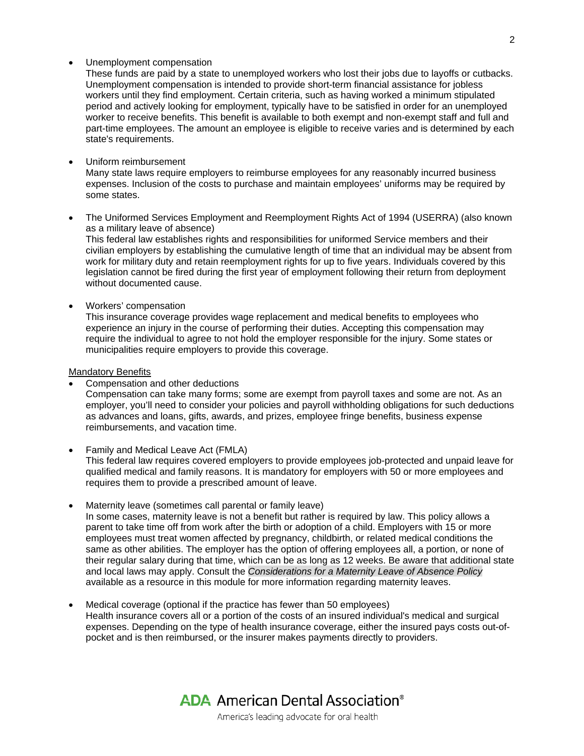## • Unemployment compensation

These funds are paid by a state to unemployed workers who lost their jobs due to layoffs or cutbacks. Unemployment compensation is intended to provide short-term financial assistance for jobless workers until they find employment. Certain criteria, such as having worked a minimum stipulated period and actively looking for employment, typically have to be satisfied in order for an unemployed worker to receive benefits. This benefit is available to both exempt and non-exempt staff and full and part-time employees. The amount an employee is eligible to receive varies and is determined by each state's requirements.

• Uniform reimbursement

Many state laws require employers to reimburse employees for any reasonably incurred business expenses. Inclusion of the costs to purchase and maintain employees' uniforms may be required by some states.

• The Uniformed Services Employment and Reemployment Rights Act of 1994 (USERRA) (also known as a military leave of absence)

This federal law establishes rights and responsibilities for uniformed Service members and their civilian employers by establishing the cumulative length of time that an individual may be absent from work for military duty and retain reemployment rights for up to five years. Individuals covered by this legislation cannot be fired during the first year of employment following their return from deployment without documented cause.

• Workers' compensation

This insurance coverage provides wage replacement and medical benefits to employees who experience an injury in the course of performing their duties. Accepting this compensation may require the individual to agree to not hold the employer responsible for the injury. Some states or municipalities require employers to provide this coverage.

#### Mandatory Benefits

- Compensation and other deductions Compensation can take many forms; some are exempt from payroll taxes and some are not. As an employer, you'll need to consider your policies and payroll withholding obligations for such deductions as advances and loans, gifts, awards, and prizes, employee fringe benefits, business expense reimbursements, and vacation time.
- Family and Medical Leave Act (FMLA) This federal law requires covered employers to provide employees job-protected and unpaid leave for qualified medical and family reasons. It is mandatory for employers with 50 or more employees and requires them to provide a prescribed amount of leave.
- Maternity leave (sometimes call parental or family leave) In some cases, maternity leave is not a benefit but rather is required by law. This policy allows a parent to take time off from work after the birth or adoption of a child. Employers with 15 or more employees must treat women affected by pregnancy, childbirth, or related medical conditions the same as other abilities. The employer has the option of offering employees all, a portion, or none of their regular salary during that time, which can be as long as 12 weeks. Be aware that additional state and local laws may apply. Consult the *Considerations for a Maternity Leave of Absence Policy* available as a resource in this module for more information regarding maternity leaves.
- Medical coverage (optional if the practice has fewer than 50 employees) Health insurance covers all or a portion of the costs of an insured individual's medical and surgical expenses. Depending on the type of health insurance coverage, either the insured pays costs out-ofpocket and is then reimbursed, or the insurer makes payments directly to providers.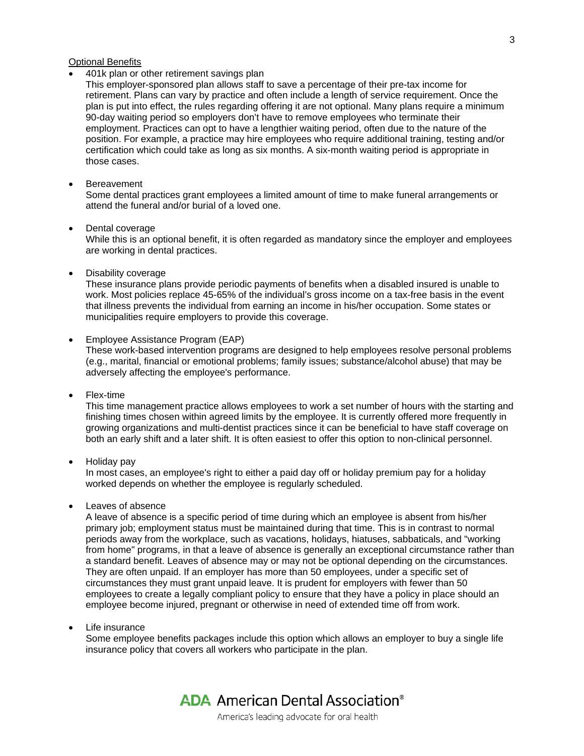## Optional Benefits

• 401k plan or other retirement savings plan

This employer-sponsored plan allows staff to save a percentage of their pre-tax income for retirement. Plans can vary by practice and often include a length of service requirement. Once the plan is put into effect, the rules regarding offering it are not optional. Many plans require a minimum 90-day waiting period so employers don't have to remove employees who terminate their employment. Practices can opt to have a lengthier waiting period, often due to the nature of the position. For example, a practice may hire employees who require additional training, testing and/or certification which could take as long as six months. A six-month waiting period is appropriate in those cases.

**Bereavement** 

Some dental practices grant employees a limited amount of time to make funeral arrangements or attend the funeral and/or burial of a loved one.

• Dental coverage

While this is an optional benefit, it is often regarded as mandatory since the employer and employees are working in dental practices.

• Disability coverage

These insurance plans provide periodic payments of benefits when a disabled insured is unable to work. Most policies replace 45-65% of the individual's gross income on a tax-free basis in the event that illness prevents the individual from earning an income in his/her occupation. Some states or municipalities require employers to provide this coverage.

- Employee Assistance Program (EAP) These work-based intervention programs are designed to help employees resolve personal problems (e.g., marital, financial or emotional problems; family issues; substance/alcohol abuse) that may be adversely affecting the employee's performance.
- Flex-time

This time management practice allows employees to work a set number of hours with the starting and finishing times chosen within agreed limits by the employee. It is currently offered more frequently in growing organizations and multi-dentist practices since it can be beneficial to have staff coverage on both an early shift and a later shift. It is often easiest to offer this option to non-clinical personnel.

• Holiday pay

In most cases, an employee's right to either a paid day off or holiday premium pay for a holiday worked depends on whether the employee is regularly scheduled.

• Leaves of absence

A leave of absence is a specific period of time during which an employee is absent from his/her primary job; employment status must be maintained during that time. This is in contrast to normal periods away from the workplace, such as vacations, holidays, hiatuses, sabbaticals, and "working from home" programs, in that a leave of absence is generally an exceptional circumstance rather than a standard benefit. Leaves of absence may or may not be optional depending on the circumstances. They are often unpaid. If an employer has more than 50 employees, under a specific set of circumstances they must grant unpaid leave. It is prudent for employers with fewer than 50 employees to create a legally compliant policy to ensure that they have a policy in place should an employee become injured, pregnant or otherwise in need of extended time off from work.

• Life insurance

Some employee benefits packages include this option which allows an employer to buy a single life insurance policy that covers all workers who participate in the plan.